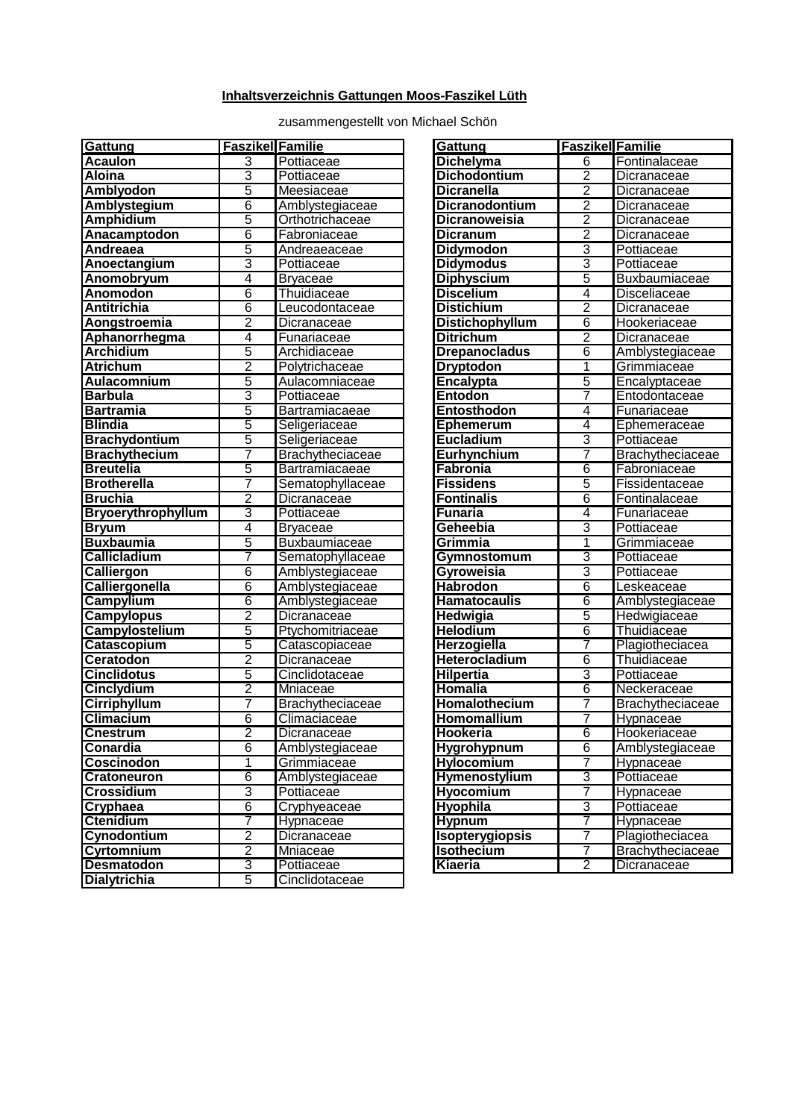## **Inhaltsverzeichnis Gattungen Moos-Faszikel Lüth**

zusammengestellt von Michael Schön

| Acaulon<br>3<br>Pottiaceae<br>Dichelyma<br>Fontinalaceae<br>6<br>3<br>Aloina<br>Pottiaceae<br>Dichodontium<br>2<br>Dicranaceae<br>5<br>Amblyodon<br>2<br>Meesiaceae<br><b>Dicranella</b><br>Dicranaceae<br>2<br>6<br>Dicranodontium<br>Amblystegium<br>Amblystegiaceae<br>Dicranaceae<br>5<br>2<br><b>Amphidium</b><br>Dicranoweisia<br>Orthotrichaceae<br>Dicranaceae<br>$\overline{2}$<br>6<br>Anacamptodon<br>Fabroniaceae<br>Dicranum<br>Dicranaceae<br>5<br>3<br>Andreaea<br><b>Didymodon</b><br>Andreaeaceae<br>Pottiaceae<br>3<br>3<br>Pottiaceae<br><b>Didymodus</b><br>Pottiaceae<br>Anoectangium<br>4<br><b>Diphyscium</b><br>5<br>Anomobryum<br><b>Bryaceae</b><br>Buxbaumiaceae<br>6<br>4<br>Thuidiaceae<br><b>Discelium</b><br>Anomodon<br>Disceliaceae<br>2<br>6<br>Antitrichia<br>Leucodontaceae<br><b>Distichium</b><br>Dicranaceae<br>2<br>6<br><b>Distichophyllum</b><br>Hookeriaceae<br>Aongstroemia<br>Dicranaceae<br>$\overline{2}$<br>4<br>Aphanorrhegma<br>Funariaceae<br><b>Ditrichum</b><br>Dicranaceae<br>5<br><b>Archidium</b><br><b>Drepanocladus</b><br>6<br>Archidiaceae<br>Amblystegiaceae<br>$\overline{2}$<br>1<br>Atrichum<br>Polytrichaceae<br><b>Dryptodon</b><br>Grimmiaceae<br>5<br>$\overline{5}$<br>Encalypta<br>Aulacomnium<br>Aulacomniaceae<br>Encalyptaceae<br>3<br>7<br><b>Barbula</b><br>Pottiaceae<br>Entodon<br>Entodontaceae<br>5<br>4<br><b>Bartramia</b><br>Bartramiacaeae<br>Entosthodon<br>Funariaceae<br>5<br>4<br><b>Blindia</b><br>Ephemerum<br>Seligeriaceae<br>Ephemeraceae<br>5<br>3<br><b>Brachydontium</b><br>Seligeriaceae<br>Eucladium<br>Pottiaceae<br>7<br>7<br><b>Brachythecium</b><br>Eurhynchium<br>Brachytheciaceae<br>Brachytheciaceae<br>5<br><b>Breutelia</b><br>6<br>Bartramiacaeae<br>Fabronia<br>Fabroniaceae<br>5<br>7<br><b>Brotherella</b><br>Sematophyllaceae<br><b>Fissidens</b><br>Fissidentaceae<br>2<br><b>Fontinalis</b><br>6<br><b>Bruchia</b><br>Fontinalaceae<br>Dicranaceae<br>3<br>Bryoerythrophyllum<br>4<br>Pottiaceae<br><b>Funaria</b><br>Funariaceae<br>3<br>4<br>Pottiaceae<br><b>Bryaceae</b><br>Geheebia<br><b>Bryum</b><br>5<br><b>Buxbaumia</b><br>Grimmia<br>1<br>Buxbaumiaceae<br>Grimmiaceae<br>3<br>7<br>Callicladium<br>Sematophyllaceae<br>Gymnostomum<br>Pottiaceae<br>6<br>Gyroweisia<br>3<br>Calliergon<br>Amblystegiaceae<br>Pottiaceae<br>$\overline{6}$<br>Calliergonella<br>6<br>Amblystegiaceae<br>Habrodon<br>Leskeaceae<br>Campylium<br>6<br>6<br>Amblystegiaceae<br>Hamatocaulis<br>2<br>5<br><b>Campylopus</b><br>Dicranaceae<br>Hedwigia<br>Hedwigiaceae<br>Campylostelium<br>5<br><b>Helodium</b><br>6<br>Thuidiaceae<br>Ptychomitriaceae<br>5<br>Herzogiella<br>7<br>Catascopium<br>Plagiotheciacea<br>Catascopiaceae<br>2<br>$\overline{6}$<br>Thuidiaceae<br>Ceratodon<br>Dicranaceae<br>Heterocladium<br>5<br>3<br>Cinclidotaceae<br><b>Cinclidotus</b><br><b>Hilpertia</b><br>Pottiaceae<br>2<br><b>Homalia</b><br>6<br>Neckeraceae<br>Cinclydium<br>Mniaceae<br>Cirriphyllum<br>7<br>Homalothecium<br>7<br>Brachytheciaceae<br>6<br>Climacium<br>Homomallium<br>7<br>Hypnaceae<br>Climaciaceae<br>2<br>Hookeria<br>6<br><b>Cnestrum</b><br>Dicranaceae<br>Hookeriaceae<br>$\overline{6}$<br>6<br>Conardia<br>Hygrohypnum<br>Amblystegiaceae<br>Amblystegiaceae<br>1<br>Coscinodon<br>Grimmiaceae<br>Hylocomium<br>7<br>Hypnaceae<br>3<br>6<br>Hymenostylium<br>Pottiaceae<br>Cratoneuron<br>Amblystegiaceae<br>Crossidium<br>3<br><b>Hyocomium</b><br>Pottiaceae<br>7<br>Hypnaceae<br>3<br>6<br>Cryphaea<br><b>Hyophila</b><br>Pottiaceae<br>Cryphyeaceae<br>7<br>Ctenidium<br><b>Hypnum</b><br>7<br>Hypnaceae<br>Hypnaceae<br>2<br>7<br>Cynodontium<br>Dicranaceae<br>Isopterygiopsis<br>Plagiotheciacea<br>2<br>Cyrtomnium<br><b>Isothecium</b><br>7<br>Mniaceae<br>3<br>$\overline{2}$<br><b>Desmatodon</b><br>Pottiaceae<br>Kiaeria<br>Dicranaceae<br>5<br><b>Dialytrichia</b><br>Cinclidotaceae | Gattung | <b>Faszikel Familie</b> | Gattung | <b>Faszikel Familie</b> |                         |
|-----------------------------------------------------------------------------------------------------------------------------------------------------------------------------------------------------------------------------------------------------------------------------------------------------------------------------------------------------------------------------------------------------------------------------------------------------------------------------------------------------------------------------------------------------------------------------------------------------------------------------------------------------------------------------------------------------------------------------------------------------------------------------------------------------------------------------------------------------------------------------------------------------------------------------------------------------------------------------------------------------------------------------------------------------------------------------------------------------------------------------------------------------------------------------------------------------------------------------------------------------------------------------------------------------------------------------------------------------------------------------------------------------------------------------------------------------------------------------------------------------------------------------------------------------------------------------------------------------------------------------------------------------------------------------------------------------------------------------------------------------------------------------------------------------------------------------------------------------------------------------------------------------------------------------------------------------------------------------------------------------------------------------------------------------------------------------------------------------------------------------------------------------------------------------------------------------------------------------------------------------------------------------------------------------------------------------------------------------------------------------------------------------------------------------------------------------------------------------------------------------------------------------------------------------------------------------------------------------------------------------------------------------------------------------------------------------------------------------------------------------------------------------------------------------------------------------------------------------------------------------------------------------------------------------------------------------------------------------------------------------------------------------------------------------------------------------------------------------------------------------------------------------------------------------------------------------------------------------------------------------------------------------------------------------------------------------------------------------------------------------------------------------------------------------------------------------------------------------------------------------------------------------------------------------------------------------------------------------------------------------------------------------------------------------------------------------------------------------------------------------------------------------------------------------------------------------------------------------------------------------------------------------------------------------------|---------|-------------------------|---------|-------------------------|-------------------------|
|                                                                                                                                                                                                                                                                                                                                                                                                                                                                                                                                                                                                                                                                                                                                                                                                                                                                                                                                                                                                                                                                                                                                                                                                                                                                                                                                                                                                                                                                                                                                                                                                                                                                                                                                                                                                                                                                                                                                                                                                                                                                                                                                                                                                                                                                                                                                                                                                                                                                                                                                                                                                                                                                                                                                                                                                                                                                                                                                                                                                                                                                                                                                                                                                                                                                                                                                                                                                                                                                                                                                                                                                                                                                                                                                                                                                                                                                                                                                   |         |                         |         |                         |                         |
|                                                                                                                                                                                                                                                                                                                                                                                                                                                                                                                                                                                                                                                                                                                                                                                                                                                                                                                                                                                                                                                                                                                                                                                                                                                                                                                                                                                                                                                                                                                                                                                                                                                                                                                                                                                                                                                                                                                                                                                                                                                                                                                                                                                                                                                                                                                                                                                                                                                                                                                                                                                                                                                                                                                                                                                                                                                                                                                                                                                                                                                                                                                                                                                                                                                                                                                                                                                                                                                                                                                                                                                                                                                                                                                                                                                                                                                                                                                                   |         |                         |         |                         |                         |
|                                                                                                                                                                                                                                                                                                                                                                                                                                                                                                                                                                                                                                                                                                                                                                                                                                                                                                                                                                                                                                                                                                                                                                                                                                                                                                                                                                                                                                                                                                                                                                                                                                                                                                                                                                                                                                                                                                                                                                                                                                                                                                                                                                                                                                                                                                                                                                                                                                                                                                                                                                                                                                                                                                                                                                                                                                                                                                                                                                                                                                                                                                                                                                                                                                                                                                                                                                                                                                                                                                                                                                                                                                                                                                                                                                                                                                                                                                                                   |         |                         |         |                         |                         |
|                                                                                                                                                                                                                                                                                                                                                                                                                                                                                                                                                                                                                                                                                                                                                                                                                                                                                                                                                                                                                                                                                                                                                                                                                                                                                                                                                                                                                                                                                                                                                                                                                                                                                                                                                                                                                                                                                                                                                                                                                                                                                                                                                                                                                                                                                                                                                                                                                                                                                                                                                                                                                                                                                                                                                                                                                                                                                                                                                                                                                                                                                                                                                                                                                                                                                                                                                                                                                                                                                                                                                                                                                                                                                                                                                                                                                                                                                                                                   |         |                         |         |                         |                         |
|                                                                                                                                                                                                                                                                                                                                                                                                                                                                                                                                                                                                                                                                                                                                                                                                                                                                                                                                                                                                                                                                                                                                                                                                                                                                                                                                                                                                                                                                                                                                                                                                                                                                                                                                                                                                                                                                                                                                                                                                                                                                                                                                                                                                                                                                                                                                                                                                                                                                                                                                                                                                                                                                                                                                                                                                                                                                                                                                                                                                                                                                                                                                                                                                                                                                                                                                                                                                                                                                                                                                                                                                                                                                                                                                                                                                                                                                                                                                   |         |                         |         |                         |                         |
|                                                                                                                                                                                                                                                                                                                                                                                                                                                                                                                                                                                                                                                                                                                                                                                                                                                                                                                                                                                                                                                                                                                                                                                                                                                                                                                                                                                                                                                                                                                                                                                                                                                                                                                                                                                                                                                                                                                                                                                                                                                                                                                                                                                                                                                                                                                                                                                                                                                                                                                                                                                                                                                                                                                                                                                                                                                                                                                                                                                                                                                                                                                                                                                                                                                                                                                                                                                                                                                                                                                                                                                                                                                                                                                                                                                                                                                                                                                                   |         |                         |         |                         |                         |
|                                                                                                                                                                                                                                                                                                                                                                                                                                                                                                                                                                                                                                                                                                                                                                                                                                                                                                                                                                                                                                                                                                                                                                                                                                                                                                                                                                                                                                                                                                                                                                                                                                                                                                                                                                                                                                                                                                                                                                                                                                                                                                                                                                                                                                                                                                                                                                                                                                                                                                                                                                                                                                                                                                                                                                                                                                                                                                                                                                                                                                                                                                                                                                                                                                                                                                                                                                                                                                                                                                                                                                                                                                                                                                                                                                                                                                                                                                                                   |         |                         |         |                         |                         |
|                                                                                                                                                                                                                                                                                                                                                                                                                                                                                                                                                                                                                                                                                                                                                                                                                                                                                                                                                                                                                                                                                                                                                                                                                                                                                                                                                                                                                                                                                                                                                                                                                                                                                                                                                                                                                                                                                                                                                                                                                                                                                                                                                                                                                                                                                                                                                                                                                                                                                                                                                                                                                                                                                                                                                                                                                                                                                                                                                                                                                                                                                                                                                                                                                                                                                                                                                                                                                                                                                                                                                                                                                                                                                                                                                                                                                                                                                                                                   |         |                         |         |                         |                         |
|                                                                                                                                                                                                                                                                                                                                                                                                                                                                                                                                                                                                                                                                                                                                                                                                                                                                                                                                                                                                                                                                                                                                                                                                                                                                                                                                                                                                                                                                                                                                                                                                                                                                                                                                                                                                                                                                                                                                                                                                                                                                                                                                                                                                                                                                                                                                                                                                                                                                                                                                                                                                                                                                                                                                                                                                                                                                                                                                                                                                                                                                                                                                                                                                                                                                                                                                                                                                                                                                                                                                                                                                                                                                                                                                                                                                                                                                                                                                   |         |                         |         |                         |                         |
|                                                                                                                                                                                                                                                                                                                                                                                                                                                                                                                                                                                                                                                                                                                                                                                                                                                                                                                                                                                                                                                                                                                                                                                                                                                                                                                                                                                                                                                                                                                                                                                                                                                                                                                                                                                                                                                                                                                                                                                                                                                                                                                                                                                                                                                                                                                                                                                                                                                                                                                                                                                                                                                                                                                                                                                                                                                                                                                                                                                                                                                                                                                                                                                                                                                                                                                                                                                                                                                                                                                                                                                                                                                                                                                                                                                                                                                                                                                                   |         |                         |         |                         |                         |
|                                                                                                                                                                                                                                                                                                                                                                                                                                                                                                                                                                                                                                                                                                                                                                                                                                                                                                                                                                                                                                                                                                                                                                                                                                                                                                                                                                                                                                                                                                                                                                                                                                                                                                                                                                                                                                                                                                                                                                                                                                                                                                                                                                                                                                                                                                                                                                                                                                                                                                                                                                                                                                                                                                                                                                                                                                                                                                                                                                                                                                                                                                                                                                                                                                                                                                                                                                                                                                                                                                                                                                                                                                                                                                                                                                                                                                                                                                                                   |         |                         |         |                         |                         |
|                                                                                                                                                                                                                                                                                                                                                                                                                                                                                                                                                                                                                                                                                                                                                                                                                                                                                                                                                                                                                                                                                                                                                                                                                                                                                                                                                                                                                                                                                                                                                                                                                                                                                                                                                                                                                                                                                                                                                                                                                                                                                                                                                                                                                                                                                                                                                                                                                                                                                                                                                                                                                                                                                                                                                                                                                                                                                                                                                                                                                                                                                                                                                                                                                                                                                                                                                                                                                                                                                                                                                                                                                                                                                                                                                                                                                                                                                                                                   |         |                         |         |                         |                         |
|                                                                                                                                                                                                                                                                                                                                                                                                                                                                                                                                                                                                                                                                                                                                                                                                                                                                                                                                                                                                                                                                                                                                                                                                                                                                                                                                                                                                                                                                                                                                                                                                                                                                                                                                                                                                                                                                                                                                                                                                                                                                                                                                                                                                                                                                                                                                                                                                                                                                                                                                                                                                                                                                                                                                                                                                                                                                                                                                                                                                                                                                                                                                                                                                                                                                                                                                                                                                                                                                                                                                                                                                                                                                                                                                                                                                                                                                                                                                   |         |                         |         |                         |                         |
|                                                                                                                                                                                                                                                                                                                                                                                                                                                                                                                                                                                                                                                                                                                                                                                                                                                                                                                                                                                                                                                                                                                                                                                                                                                                                                                                                                                                                                                                                                                                                                                                                                                                                                                                                                                                                                                                                                                                                                                                                                                                                                                                                                                                                                                                                                                                                                                                                                                                                                                                                                                                                                                                                                                                                                                                                                                                                                                                                                                                                                                                                                                                                                                                                                                                                                                                                                                                                                                                                                                                                                                                                                                                                                                                                                                                                                                                                                                                   |         |                         |         |                         |                         |
|                                                                                                                                                                                                                                                                                                                                                                                                                                                                                                                                                                                                                                                                                                                                                                                                                                                                                                                                                                                                                                                                                                                                                                                                                                                                                                                                                                                                                                                                                                                                                                                                                                                                                                                                                                                                                                                                                                                                                                                                                                                                                                                                                                                                                                                                                                                                                                                                                                                                                                                                                                                                                                                                                                                                                                                                                                                                                                                                                                                                                                                                                                                                                                                                                                                                                                                                                                                                                                                                                                                                                                                                                                                                                                                                                                                                                                                                                                                                   |         |                         |         |                         |                         |
|                                                                                                                                                                                                                                                                                                                                                                                                                                                                                                                                                                                                                                                                                                                                                                                                                                                                                                                                                                                                                                                                                                                                                                                                                                                                                                                                                                                                                                                                                                                                                                                                                                                                                                                                                                                                                                                                                                                                                                                                                                                                                                                                                                                                                                                                                                                                                                                                                                                                                                                                                                                                                                                                                                                                                                                                                                                                                                                                                                                                                                                                                                                                                                                                                                                                                                                                                                                                                                                                                                                                                                                                                                                                                                                                                                                                                                                                                                                                   |         |                         |         |                         |                         |
|                                                                                                                                                                                                                                                                                                                                                                                                                                                                                                                                                                                                                                                                                                                                                                                                                                                                                                                                                                                                                                                                                                                                                                                                                                                                                                                                                                                                                                                                                                                                                                                                                                                                                                                                                                                                                                                                                                                                                                                                                                                                                                                                                                                                                                                                                                                                                                                                                                                                                                                                                                                                                                                                                                                                                                                                                                                                                                                                                                                                                                                                                                                                                                                                                                                                                                                                                                                                                                                                                                                                                                                                                                                                                                                                                                                                                                                                                                                                   |         |                         |         |                         |                         |
|                                                                                                                                                                                                                                                                                                                                                                                                                                                                                                                                                                                                                                                                                                                                                                                                                                                                                                                                                                                                                                                                                                                                                                                                                                                                                                                                                                                                                                                                                                                                                                                                                                                                                                                                                                                                                                                                                                                                                                                                                                                                                                                                                                                                                                                                                                                                                                                                                                                                                                                                                                                                                                                                                                                                                                                                                                                                                                                                                                                                                                                                                                                                                                                                                                                                                                                                                                                                                                                                                                                                                                                                                                                                                                                                                                                                                                                                                                                                   |         |                         |         |                         |                         |
|                                                                                                                                                                                                                                                                                                                                                                                                                                                                                                                                                                                                                                                                                                                                                                                                                                                                                                                                                                                                                                                                                                                                                                                                                                                                                                                                                                                                                                                                                                                                                                                                                                                                                                                                                                                                                                                                                                                                                                                                                                                                                                                                                                                                                                                                                                                                                                                                                                                                                                                                                                                                                                                                                                                                                                                                                                                                                                                                                                                                                                                                                                                                                                                                                                                                                                                                                                                                                                                                                                                                                                                                                                                                                                                                                                                                                                                                                                                                   |         |                         |         |                         |                         |
|                                                                                                                                                                                                                                                                                                                                                                                                                                                                                                                                                                                                                                                                                                                                                                                                                                                                                                                                                                                                                                                                                                                                                                                                                                                                                                                                                                                                                                                                                                                                                                                                                                                                                                                                                                                                                                                                                                                                                                                                                                                                                                                                                                                                                                                                                                                                                                                                                                                                                                                                                                                                                                                                                                                                                                                                                                                                                                                                                                                                                                                                                                                                                                                                                                                                                                                                                                                                                                                                                                                                                                                                                                                                                                                                                                                                                                                                                                                                   |         |                         |         |                         |                         |
|                                                                                                                                                                                                                                                                                                                                                                                                                                                                                                                                                                                                                                                                                                                                                                                                                                                                                                                                                                                                                                                                                                                                                                                                                                                                                                                                                                                                                                                                                                                                                                                                                                                                                                                                                                                                                                                                                                                                                                                                                                                                                                                                                                                                                                                                                                                                                                                                                                                                                                                                                                                                                                                                                                                                                                                                                                                                                                                                                                                                                                                                                                                                                                                                                                                                                                                                                                                                                                                                                                                                                                                                                                                                                                                                                                                                                                                                                                                                   |         |                         |         |                         |                         |
|                                                                                                                                                                                                                                                                                                                                                                                                                                                                                                                                                                                                                                                                                                                                                                                                                                                                                                                                                                                                                                                                                                                                                                                                                                                                                                                                                                                                                                                                                                                                                                                                                                                                                                                                                                                                                                                                                                                                                                                                                                                                                                                                                                                                                                                                                                                                                                                                                                                                                                                                                                                                                                                                                                                                                                                                                                                                                                                                                                                                                                                                                                                                                                                                                                                                                                                                                                                                                                                                                                                                                                                                                                                                                                                                                                                                                                                                                                                                   |         |                         |         |                         |                         |
|                                                                                                                                                                                                                                                                                                                                                                                                                                                                                                                                                                                                                                                                                                                                                                                                                                                                                                                                                                                                                                                                                                                                                                                                                                                                                                                                                                                                                                                                                                                                                                                                                                                                                                                                                                                                                                                                                                                                                                                                                                                                                                                                                                                                                                                                                                                                                                                                                                                                                                                                                                                                                                                                                                                                                                                                                                                                                                                                                                                                                                                                                                                                                                                                                                                                                                                                                                                                                                                                                                                                                                                                                                                                                                                                                                                                                                                                                                                                   |         |                         |         |                         |                         |
|                                                                                                                                                                                                                                                                                                                                                                                                                                                                                                                                                                                                                                                                                                                                                                                                                                                                                                                                                                                                                                                                                                                                                                                                                                                                                                                                                                                                                                                                                                                                                                                                                                                                                                                                                                                                                                                                                                                                                                                                                                                                                                                                                                                                                                                                                                                                                                                                                                                                                                                                                                                                                                                                                                                                                                                                                                                                                                                                                                                                                                                                                                                                                                                                                                                                                                                                                                                                                                                                                                                                                                                                                                                                                                                                                                                                                                                                                                                                   |         |                         |         |                         |                         |
|                                                                                                                                                                                                                                                                                                                                                                                                                                                                                                                                                                                                                                                                                                                                                                                                                                                                                                                                                                                                                                                                                                                                                                                                                                                                                                                                                                                                                                                                                                                                                                                                                                                                                                                                                                                                                                                                                                                                                                                                                                                                                                                                                                                                                                                                                                                                                                                                                                                                                                                                                                                                                                                                                                                                                                                                                                                                                                                                                                                                                                                                                                                                                                                                                                                                                                                                                                                                                                                                                                                                                                                                                                                                                                                                                                                                                                                                                                                                   |         |                         |         |                         |                         |
|                                                                                                                                                                                                                                                                                                                                                                                                                                                                                                                                                                                                                                                                                                                                                                                                                                                                                                                                                                                                                                                                                                                                                                                                                                                                                                                                                                                                                                                                                                                                                                                                                                                                                                                                                                                                                                                                                                                                                                                                                                                                                                                                                                                                                                                                                                                                                                                                                                                                                                                                                                                                                                                                                                                                                                                                                                                                                                                                                                                                                                                                                                                                                                                                                                                                                                                                                                                                                                                                                                                                                                                                                                                                                                                                                                                                                                                                                                                                   |         |                         |         |                         |                         |
|                                                                                                                                                                                                                                                                                                                                                                                                                                                                                                                                                                                                                                                                                                                                                                                                                                                                                                                                                                                                                                                                                                                                                                                                                                                                                                                                                                                                                                                                                                                                                                                                                                                                                                                                                                                                                                                                                                                                                                                                                                                                                                                                                                                                                                                                                                                                                                                                                                                                                                                                                                                                                                                                                                                                                                                                                                                                                                                                                                                                                                                                                                                                                                                                                                                                                                                                                                                                                                                                                                                                                                                                                                                                                                                                                                                                                                                                                                                                   |         |                         |         |                         |                         |
|                                                                                                                                                                                                                                                                                                                                                                                                                                                                                                                                                                                                                                                                                                                                                                                                                                                                                                                                                                                                                                                                                                                                                                                                                                                                                                                                                                                                                                                                                                                                                                                                                                                                                                                                                                                                                                                                                                                                                                                                                                                                                                                                                                                                                                                                                                                                                                                                                                                                                                                                                                                                                                                                                                                                                                                                                                                                                                                                                                                                                                                                                                                                                                                                                                                                                                                                                                                                                                                                                                                                                                                                                                                                                                                                                                                                                                                                                                                                   |         |                         |         |                         |                         |
|                                                                                                                                                                                                                                                                                                                                                                                                                                                                                                                                                                                                                                                                                                                                                                                                                                                                                                                                                                                                                                                                                                                                                                                                                                                                                                                                                                                                                                                                                                                                                                                                                                                                                                                                                                                                                                                                                                                                                                                                                                                                                                                                                                                                                                                                                                                                                                                                                                                                                                                                                                                                                                                                                                                                                                                                                                                                                                                                                                                                                                                                                                                                                                                                                                                                                                                                                                                                                                                                                                                                                                                                                                                                                                                                                                                                                                                                                                                                   |         |                         |         |                         |                         |
|                                                                                                                                                                                                                                                                                                                                                                                                                                                                                                                                                                                                                                                                                                                                                                                                                                                                                                                                                                                                                                                                                                                                                                                                                                                                                                                                                                                                                                                                                                                                                                                                                                                                                                                                                                                                                                                                                                                                                                                                                                                                                                                                                                                                                                                                                                                                                                                                                                                                                                                                                                                                                                                                                                                                                                                                                                                                                                                                                                                                                                                                                                                                                                                                                                                                                                                                                                                                                                                                                                                                                                                                                                                                                                                                                                                                                                                                                                                                   |         |                         |         |                         |                         |
|                                                                                                                                                                                                                                                                                                                                                                                                                                                                                                                                                                                                                                                                                                                                                                                                                                                                                                                                                                                                                                                                                                                                                                                                                                                                                                                                                                                                                                                                                                                                                                                                                                                                                                                                                                                                                                                                                                                                                                                                                                                                                                                                                                                                                                                                                                                                                                                                                                                                                                                                                                                                                                                                                                                                                                                                                                                                                                                                                                                                                                                                                                                                                                                                                                                                                                                                                                                                                                                                                                                                                                                                                                                                                                                                                                                                                                                                                                                                   |         |                         |         |                         | Amblystegiaceae         |
|                                                                                                                                                                                                                                                                                                                                                                                                                                                                                                                                                                                                                                                                                                                                                                                                                                                                                                                                                                                                                                                                                                                                                                                                                                                                                                                                                                                                                                                                                                                                                                                                                                                                                                                                                                                                                                                                                                                                                                                                                                                                                                                                                                                                                                                                                                                                                                                                                                                                                                                                                                                                                                                                                                                                                                                                                                                                                                                                                                                                                                                                                                                                                                                                                                                                                                                                                                                                                                                                                                                                                                                                                                                                                                                                                                                                                                                                                                                                   |         |                         |         |                         |                         |
|                                                                                                                                                                                                                                                                                                                                                                                                                                                                                                                                                                                                                                                                                                                                                                                                                                                                                                                                                                                                                                                                                                                                                                                                                                                                                                                                                                                                                                                                                                                                                                                                                                                                                                                                                                                                                                                                                                                                                                                                                                                                                                                                                                                                                                                                                                                                                                                                                                                                                                                                                                                                                                                                                                                                                                                                                                                                                                                                                                                                                                                                                                                                                                                                                                                                                                                                                                                                                                                                                                                                                                                                                                                                                                                                                                                                                                                                                                                                   |         |                         |         |                         |                         |
|                                                                                                                                                                                                                                                                                                                                                                                                                                                                                                                                                                                                                                                                                                                                                                                                                                                                                                                                                                                                                                                                                                                                                                                                                                                                                                                                                                                                                                                                                                                                                                                                                                                                                                                                                                                                                                                                                                                                                                                                                                                                                                                                                                                                                                                                                                                                                                                                                                                                                                                                                                                                                                                                                                                                                                                                                                                                                                                                                                                                                                                                                                                                                                                                                                                                                                                                                                                                                                                                                                                                                                                                                                                                                                                                                                                                                                                                                                                                   |         |                         |         |                         |                         |
|                                                                                                                                                                                                                                                                                                                                                                                                                                                                                                                                                                                                                                                                                                                                                                                                                                                                                                                                                                                                                                                                                                                                                                                                                                                                                                                                                                                                                                                                                                                                                                                                                                                                                                                                                                                                                                                                                                                                                                                                                                                                                                                                                                                                                                                                                                                                                                                                                                                                                                                                                                                                                                                                                                                                                                                                                                                                                                                                                                                                                                                                                                                                                                                                                                                                                                                                                                                                                                                                                                                                                                                                                                                                                                                                                                                                                                                                                                                                   |         |                         |         |                         |                         |
|                                                                                                                                                                                                                                                                                                                                                                                                                                                                                                                                                                                                                                                                                                                                                                                                                                                                                                                                                                                                                                                                                                                                                                                                                                                                                                                                                                                                                                                                                                                                                                                                                                                                                                                                                                                                                                                                                                                                                                                                                                                                                                                                                                                                                                                                                                                                                                                                                                                                                                                                                                                                                                                                                                                                                                                                                                                                                                                                                                                                                                                                                                                                                                                                                                                                                                                                                                                                                                                                                                                                                                                                                                                                                                                                                                                                                                                                                                                                   |         |                         |         |                         |                         |
|                                                                                                                                                                                                                                                                                                                                                                                                                                                                                                                                                                                                                                                                                                                                                                                                                                                                                                                                                                                                                                                                                                                                                                                                                                                                                                                                                                                                                                                                                                                                                                                                                                                                                                                                                                                                                                                                                                                                                                                                                                                                                                                                                                                                                                                                                                                                                                                                                                                                                                                                                                                                                                                                                                                                                                                                                                                                                                                                                                                                                                                                                                                                                                                                                                                                                                                                                                                                                                                                                                                                                                                                                                                                                                                                                                                                                                                                                                                                   |         |                         |         |                         |                         |
|                                                                                                                                                                                                                                                                                                                                                                                                                                                                                                                                                                                                                                                                                                                                                                                                                                                                                                                                                                                                                                                                                                                                                                                                                                                                                                                                                                                                                                                                                                                                                                                                                                                                                                                                                                                                                                                                                                                                                                                                                                                                                                                                                                                                                                                                                                                                                                                                                                                                                                                                                                                                                                                                                                                                                                                                                                                                                                                                                                                                                                                                                                                                                                                                                                                                                                                                                                                                                                                                                                                                                                                                                                                                                                                                                                                                                                                                                                                                   |         |                         |         |                         | Brachytheciaceae        |
|                                                                                                                                                                                                                                                                                                                                                                                                                                                                                                                                                                                                                                                                                                                                                                                                                                                                                                                                                                                                                                                                                                                                                                                                                                                                                                                                                                                                                                                                                                                                                                                                                                                                                                                                                                                                                                                                                                                                                                                                                                                                                                                                                                                                                                                                                                                                                                                                                                                                                                                                                                                                                                                                                                                                                                                                                                                                                                                                                                                                                                                                                                                                                                                                                                                                                                                                                                                                                                                                                                                                                                                                                                                                                                                                                                                                                                                                                                                                   |         |                         |         |                         |                         |
|                                                                                                                                                                                                                                                                                                                                                                                                                                                                                                                                                                                                                                                                                                                                                                                                                                                                                                                                                                                                                                                                                                                                                                                                                                                                                                                                                                                                                                                                                                                                                                                                                                                                                                                                                                                                                                                                                                                                                                                                                                                                                                                                                                                                                                                                                                                                                                                                                                                                                                                                                                                                                                                                                                                                                                                                                                                                                                                                                                                                                                                                                                                                                                                                                                                                                                                                                                                                                                                                                                                                                                                                                                                                                                                                                                                                                                                                                                                                   |         |                         |         |                         |                         |
|                                                                                                                                                                                                                                                                                                                                                                                                                                                                                                                                                                                                                                                                                                                                                                                                                                                                                                                                                                                                                                                                                                                                                                                                                                                                                                                                                                                                                                                                                                                                                                                                                                                                                                                                                                                                                                                                                                                                                                                                                                                                                                                                                                                                                                                                                                                                                                                                                                                                                                                                                                                                                                                                                                                                                                                                                                                                                                                                                                                                                                                                                                                                                                                                                                                                                                                                                                                                                                                                                                                                                                                                                                                                                                                                                                                                                                                                                                                                   |         |                         |         |                         |                         |
|                                                                                                                                                                                                                                                                                                                                                                                                                                                                                                                                                                                                                                                                                                                                                                                                                                                                                                                                                                                                                                                                                                                                                                                                                                                                                                                                                                                                                                                                                                                                                                                                                                                                                                                                                                                                                                                                                                                                                                                                                                                                                                                                                                                                                                                                                                                                                                                                                                                                                                                                                                                                                                                                                                                                                                                                                                                                                                                                                                                                                                                                                                                                                                                                                                                                                                                                                                                                                                                                                                                                                                                                                                                                                                                                                                                                                                                                                                                                   |         |                         |         |                         |                         |
|                                                                                                                                                                                                                                                                                                                                                                                                                                                                                                                                                                                                                                                                                                                                                                                                                                                                                                                                                                                                                                                                                                                                                                                                                                                                                                                                                                                                                                                                                                                                                                                                                                                                                                                                                                                                                                                                                                                                                                                                                                                                                                                                                                                                                                                                                                                                                                                                                                                                                                                                                                                                                                                                                                                                                                                                                                                                                                                                                                                                                                                                                                                                                                                                                                                                                                                                                                                                                                                                                                                                                                                                                                                                                                                                                                                                                                                                                                                                   |         |                         |         |                         |                         |
|                                                                                                                                                                                                                                                                                                                                                                                                                                                                                                                                                                                                                                                                                                                                                                                                                                                                                                                                                                                                                                                                                                                                                                                                                                                                                                                                                                                                                                                                                                                                                                                                                                                                                                                                                                                                                                                                                                                                                                                                                                                                                                                                                                                                                                                                                                                                                                                                                                                                                                                                                                                                                                                                                                                                                                                                                                                                                                                                                                                                                                                                                                                                                                                                                                                                                                                                                                                                                                                                                                                                                                                                                                                                                                                                                                                                                                                                                                                                   |         |                         |         |                         |                         |
|                                                                                                                                                                                                                                                                                                                                                                                                                                                                                                                                                                                                                                                                                                                                                                                                                                                                                                                                                                                                                                                                                                                                                                                                                                                                                                                                                                                                                                                                                                                                                                                                                                                                                                                                                                                                                                                                                                                                                                                                                                                                                                                                                                                                                                                                                                                                                                                                                                                                                                                                                                                                                                                                                                                                                                                                                                                                                                                                                                                                                                                                                                                                                                                                                                                                                                                                                                                                                                                                                                                                                                                                                                                                                                                                                                                                                                                                                                                                   |         |                         |         |                         |                         |
|                                                                                                                                                                                                                                                                                                                                                                                                                                                                                                                                                                                                                                                                                                                                                                                                                                                                                                                                                                                                                                                                                                                                                                                                                                                                                                                                                                                                                                                                                                                                                                                                                                                                                                                                                                                                                                                                                                                                                                                                                                                                                                                                                                                                                                                                                                                                                                                                                                                                                                                                                                                                                                                                                                                                                                                                                                                                                                                                                                                                                                                                                                                                                                                                                                                                                                                                                                                                                                                                                                                                                                                                                                                                                                                                                                                                                                                                                                                                   |         |                         |         |                         |                         |
|                                                                                                                                                                                                                                                                                                                                                                                                                                                                                                                                                                                                                                                                                                                                                                                                                                                                                                                                                                                                                                                                                                                                                                                                                                                                                                                                                                                                                                                                                                                                                                                                                                                                                                                                                                                                                                                                                                                                                                                                                                                                                                                                                                                                                                                                                                                                                                                                                                                                                                                                                                                                                                                                                                                                                                                                                                                                                                                                                                                                                                                                                                                                                                                                                                                                                                                                                                                                                                                                                                                                                                                                                                                                                                                                                                                                                                                                                                                                   |         |                         |         |                         |                         |
|                                                                                                                                                                                                                                                                                                                                                                                                                                                                                                                                                                                                                                                                                                                                                                                                                                                                                                                                                                                                                                                                                                                                                                                                                                                                                                                                                                                                                                                                                                                                                                                                                                                                                                                                                                                                                                                                                                                                                                                                                                                                                                                                                                                                                                                                                                                                                                                                                                                                                                                                                                                                                                                                                                                                                                                                                                                                                                                                                                                                                                                                                                                                                                                                                                                                                                                                                                                                                                                                                                                                                                                                                                                                                                                                                                                                                                                                                                                                   |         |                         |         |                         | <b>Brachytheciaceae</b> |
|                                                                                                                                                                                                                                                                                                                                                                                                                                                                                                                                                                                                                                                                                                                                                                                                                                                                                                                                                                                                                                                                                                                                                                                                                                                                                                                                                                                                                                                                                                                                                                                                                                                                                                                                                                                                                                                                                                                                                                                                                                                                                                                                                                                                                                                                                                                                                                                                                                                                                                                                                                                                                                                                                                                                                                                                                                                                                                                                                                                                                                                                                                                                                                                                                                                                                                                                                                                                                                                                                                                                                                                                                                                                                                                                                                                                                                                                                                                                   |         |                         |         |                         |                         |
|                                                                                                                                                                                                                                                                                                                                                                                                                                                                                                                                                                                                                                                                                                                                                                                                                                                                                                                                                                                                                                                                                                                                                                                                                                                                                                                                                                                                                                                                                                                                                                                                                                                                                                                                                                                                                                                                                                                                                                                                                                                                                                                                                                                                                                                                                                                                                                                                                                                                                                                                                                                                                                                                                                                                                                                                                                                                                                                                                                                                                                                                                                                                                                                                                                                                                                                                                                                                                                                                                                                                                                                                                                                                                                                                                                                                                                                                                                                                   |         |                         |         |                         |                         |

| Gattung                  | <b>Faszikel Familie</b> |                               |
|--------------------------|-------------------------|-------------------------------|
| Dichelyma                | 6                       | Fontinalaceae                 |
| Dichodontium             | $\overline{2}$          | Dicranaceae                   |
| <b>Dicranella</b>        | 2                       | Dicranaceae                   |
| Dicranodontium           | $\frac{2}{2}$           | Dicranaceae                   |
| Dicranoweisia            |                         | Dicranaceae                   |
| Dicranum                 | $\frac{2}{3}$           | Dicranaceae                   |
| <b>Didymodon</b>         |                         | Pottiaceae                    |
| Didymodus                | 3                       | Pottiaceae                    |
| <b>Diphyscium</b>        | 5                       | Buxbaumiaceae                 |
| <b>Discelium</b>         | 4                       | Disceliaceae                  |
| <b>Distichium</b>        | 2                       | Dicranaceae                   |
| Distichophyllum          | 6                       | Hookeriaceae                  |
| <b>Ditrichum</b>         | $\overline{2}$          | Dicranaceae                   |
| <b>Drepanocladus</b>     | 6                       | Amblystegiaceae               |
| <b>Dryptodon</b>         | 1                       | Grimmiaceae                   |
| <b>Encalypta</b>         | 5                       | Encalyptaceae                 |
| Entodon                  | 7                       | Entodontaceae                 |
| Entosthodon              | 4                       | Funariaceae                   |
| <b>Ephemerum</b>         | 4                       | Ephemeraceae                  |
| Eucladium                | 3                       | Pottiaceae                    |
| Eurhynchium              | 7                       | Brachytheciaceae              |
| Fabronia                 | 6                       | Fabroniaceae                  |
| <b>Fissidens</b>         | 5                       | Fissidentaceae                |
| <b>Fontinalis</b>        | 6                       | Fontinalaceae                 |
| <b>Funaria</b>           | 4                       | Funariaceae                   |
| Geheebia                 | 3                       | Pottiaceae                    |
| Grimmia                  | 1                       | Grimmiaceae                   |
| Gymnostomum              | 3                       | Pottiaceae                    |
| Gyroweisia               | 3                       | Pottiaceae                    |
| Habrodon                 | 6                       | Leskeaceae                    |
| Hamatocaulis             | 6                       | Amblystegiaceae               |
| <b>Hedwigia</b>          | 5                       | Hedwigiaceae                  |
| Helodium                 | 6                       | Thuidiaceae                   |
| Herzogiella              | 7                       | Plagiotheciacea               |
| Heterocladium            | 6<br>3                  | Thuidiaceae                   |
| <b>Hilpertia</b>         | 6                       | Pottiaceae                    |
| Homalia<br>Homalothecium | 7                       | Neckeraceae                   |
| Homomallium              | 7                       | Brachytheciaceae<br>Hypnaceae |
| Hookeria                 | 6                       | Hookeriaceae                  |
| Hygrohypnum              | 6                       | Amblystegiaceae               |
| <b>Hylocomium</b>        | 7                       | Hypnaceae                     |
| Hymenostylium            | 3                       | Pottiaceae                    |
| Hyocomium                | 7                       | Hypnaceae                     |
| Hyophila                 | 3                       | Pottiaceae                    |
| <b>Hypnum</b>            | 7                       | Hypnaceae                     |
| <b>Isopterygiopsis</b>   | 7                       | Plagiotheciacea               |
| Isothecium               | 7                       | Brachytheciaceae              |
| Kiaeria                  | 2                       | Dicranaceae                   |
|                          |                         |                               |